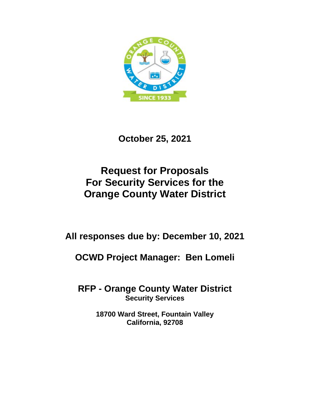

**October 25, 2021**

# **Request for Proposals For Security Services for the Orange County Water District**

**All responses due by: December 10, 2021**

**OCWD Project Manager: Ben Lomeli**

**RFP - Orange County Water District Security Services**

> **18700 Ward Street, Fountain Valley California, 92708**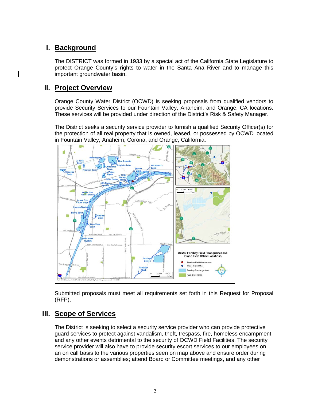# **I. Background**

The DISTRICT was formed in 1933 by a special act of the California State Legislature to protect Orange County's rights to water in the Santa Ana River and to manage this important groundwater basin.

## **II. Project Overview**

Orange County Water District (OCWD) is seeking proposals from qualified vendors to provide Security Services to our Fountain Valley, Anaheim, and Orange, CA locations. These services will be provided under direction of the District's Risk & Safety Manager.

The District seeks a security service provider to furnish a qualified Security Officer(s) for the protection of all real property that is owned, leased, or possessed by OCWD located in Fountain Valley, Anaheim, Corona, and Orange, California.



Submitted proposals must meet all requirements set forth in this Request for Proposal (RFP).

# **III. Scope of Services**

The District is seeking to select a security service provider who can provide protective guard services to protect against vandalism, theft, trespass, fire, homeless encampment, and any other events detrimental to the security of OCWD Field Facilities. The security service provider will also have to provide security escort services to our employees on an on call basis to the various properties seen on map above and ensure order during demonstrations or assemblies; attend Board or Committee meetings, and any other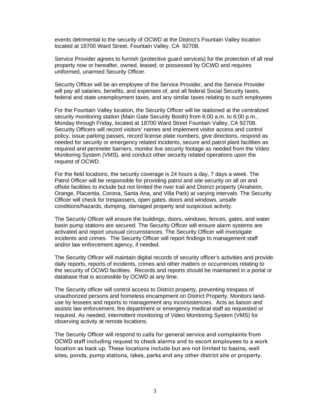events detrimental to the security of OCWD at the District's Fountain Valley location located at 18700 Ward Street, Fountain Valley, CA 92708.

Service Provider agrees to furnish (protective guard services) for the protection of all real property now or hereafter, owned, leased, or possessed by OCWD and requires uniformed, unarmed Security Officer.

Security Officer will be an employee of the Service Provider, and the Service Provider will pay all salaries, benefits, and expenses of, and all federal Social Security taxes, federal and state unemployment taxes, and any similar taxes relating to such employees

For the Fountain Valley location, the Security Officer will be stationed at the centralized security monitoring station (Main Gate Security Booth) from 6:00 a.m. to 6:00 p.m., Monday through Friday, located at 18700 Ward Street Fountain Valley, CA 92708. Security Officers will record visitors' names and implement visitor access and control policy, issue parking passes, record license plate numbers, give directions, respond as needed for security or emergency related incidents, secure and patrol plant facilities as required and perimeter barriers, monitor live security footage as needed from the Video Monitoring System (VMS), and conduct other security related operations upon the request of OCWD.

For the field locations, the security coverage is 24 hours a day, 7 days a week. The Patrol Officer will be responsible for providing patrol and site security on all on and offsite facilities to include but not limited the river trail and District property (Anaheim, Orange, Placentia, Corona, Santa Ana, and Villa Park) at varying intervals. The Security Officer will check for trespassers, open gates, doors and windows, unsafe conditions/hazards, dumping, damaged property and suspicious activity.

The Security Officer will ensure the buildings, doors, windows, fences, gates, and water basin pump stations are secured. The Security Officer will ensure alarm systems are activated and report unusual circumstances. The Security Officer will investigate incidents and crimes. The Security Officer will report findings to management staff and/or law enforcement agency, if needed.

The Security Officer will maintain digital records of security officer's activities and provide daily reports, reports of incidents, crimes and other matters or occurrences relating to the security of OCWD facilities. Records and reports should be maintained in a portal or database that is accessible by OCWD at any time.

The Security officer will control access to District property, preventing trespass of unauthorized persons and homeless encampment on District Property. Monitors landuse by lessees and reports to management any inconsistencies. Acts as liaison and assists law enforcement, fire department or emergency medical staff as requested or required. As needed, intermittent monitoring of Video Monitoring System (VMS) for observing activity at remote locations.

The Security Officer will respond to calls for general service and complaints from OCWD staff including request to check alarms and to escort employees to a work location as back up. These locations include but are not limited to basins, well sites, ponds, pump stations, lakes, parks and any other district site or property.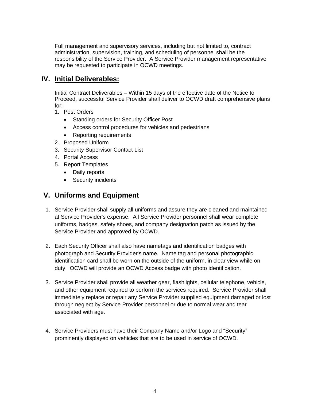Full management and supervisory services, including but not limited to, contract administration, supervision, training, and scheduling of personnel shall be the responsibility of the Service Provider. A Service Provider management representative may be requested to participate in OCWD meetings.

# **IV. Initial Deliverables:**

Initial Contract Deliverables – Within 15 days of the effective date of the Notice to Proceed, successful Service Provider shall deliver to OCWD draft comprehensive plans for:

- 1. Post Orders
	- Standing orders for Security Officer Post
	- Access control procedures for vehicles and pedestrians
	- Reporting requirements
- 2. Proposed Uniform
- 3. Security Supervisor Contact List
- 4. Portal Access
- 5. Report Templates
	- Daily reports
	- Security incidents

# **V. Uniforms and Equipment**

- 1. Service Provider shall supply all uniforms and assure they are cleaned and maintained at Service Provider's expense. All Service Provider personnel shall wear complete uniforms, badges, safety shoes, and company designation patch as issued by the Service Provider and approved by OCWD.
- 2. Each Security Officer shall also have nametags and identification badges with photograph and Security Provider's name. Name tag and personal photographic identification card shall be worn on the outside of the uniform, in clear view while on duty. OCWD will provide an OCWD Access badge with photo identification.
- 3. Service Provider shall provide all weather gear, flashlights, cellular telephone, vehicle, and other equipment required to perform the services required. Service Provider shall immediately replace or repair any Service Provider supplied equipment damaged or lost through neglect by Service Provider personnel or due to normal wear and tear associated with age.
- 4. Service Providers must have their Company Name and/or Logo and "Security" prominently displayed on vehicles that are to be used in service of OCWD.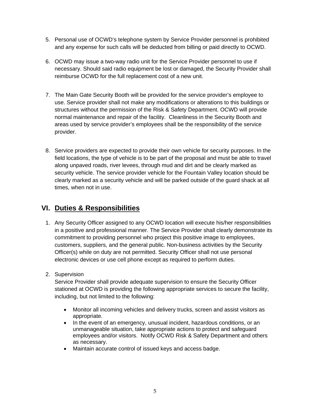- 5. Personal use of OCWD's telephone system by Service Provider personnel is prohibited and any expense for such calls will be deducted from billing or paid directly to OCWD.
- 6. OCWD may issue a two-way radio unit for the Service Provider personnel to use if necessary. Should said radio equipment be lost or damaged, the Security Provider shall reimburse OCWD for the full replacement cost of a new unit.
- 7. The Main Gate Security Booth will be provided for the service provider's employee to use. Service provider shall not make any modifications or alterations to this buildings or structures without the permission of the Risk & Safety Department. OCWD will provide normal maintenance and repair of the facility. Cleanliness in the Security Booth and areas used by service provider's employees shall be the responsibility of the service provider.
- 8. Service providers are expected to provide their own vehicle for security purposes. In the field locations, the type of vehicle is to be part of the proposal and must be able to travel along unpaved roads, river levees, through mud and dirt and be clearly marked as security vehicle. The service provider vehicle for the Fountain Valley location should be clearly marked as a security vehicle and will be parked outside of the guard shack at all times, when not in use.

# **VI. Duties & Responsibilities**

- 1. Any Security Officer assigned to any OCWD location will execute his/her responsibilities in a positive and professional manner. The Service Provider shall clearly demonstrate its commitment to providing personnel who project this positive image to employees, customers, suppliers, and the general public. Non-business activities by the Security Officer(s) while on duty are not permitted. Security Officer shall not use personal electronic devices or use cell phone except as required to perform duties.
- 2. Supervision

Service Provider shall provide adequate supervision to ensure the Security Officer stationed at OCWD is providing the following appropriate services to secure the facility, including, but not limited to the following:

- Monitor all incoming vehicles and delivery trucks, screen and assist visitors as appropriate.
- In the event of an emergency, unusual incident, hazardous conditions, or an unmanageable situation, take appropriate actions to protect and safeguard employees and/or visitors. Notify OCWD Risk & Safety Department and others as necessary.
- Maintain accurate control of issued keys and access badge.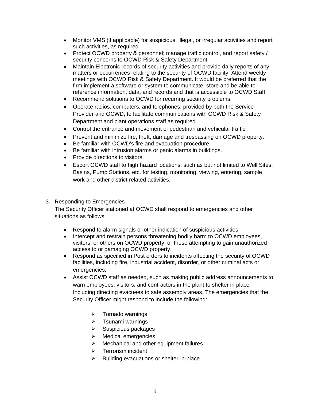- Monitor VMS (if applicable) for suspicious, illegal, or irregular activities and report such activities, as required.
- Protect OCWD property & personnel; manage traffic control, and report safety / security concerns to OCWD Risk & Safety Department.
- Maintain Electronic records of security activities and provide daily reports of any matters or occurrences relating to the security of OCWD facility. Attend weekly meetings with OCWD Risk & Safety Department. It would be preferred that the firm implement a software or system to communicate, store and be able to reference information, data, and records and that is accessible to OCWD Staff.
- Recommend solutions to OCWD for recurring security problems.
- Operate radios, computers, and telephones, provided by both the Service Provider and OCWD, to facilitate communications with OCWD Risk & Safety Department and plant operations staff as required.
- Control the entrance and movement of pedestrian and vehicular traffic.
- Prevent and minimize fire, theft, damage and trespassing on OCWD property.
- Be familiar with OCWD's fire and evacuation procedure.
- Be familiar with intrusion alarms or panic alarms in buildings.
- Provide directions to visitors.
- Escort OCWD staff to high hazard locations, such as but not limited to Well Sites, Basins, Pump Stations, etc. for testing, monitoring, viewing, entering, sample work and other district related activities.

#### 3. Responding to Emergencies

The Security Officer stationed at OCWD shall respond to emergencies and other situations as follows:

- Respond to alarm signals or other indication of suspicious activities.
- Intercept and restrain persons threatening bodily harm to OCWD employees, visitors, or others on OCWD property, or those attempting to gain unauthorized access to or damaging OCWD property.
- Respond as specified in Post orders to incidents affecting the security of OCWD facilities, including fire, industrial accident, disorder, or other criminal acts or emergencies.
- Assist OCWD staff as needed, such as making public address announcements to warn employees, visitors, and contractors in the plant to shelter in place. Including directing evacuees to safe assembly areas. The emergencies that the Security Officer might respond to include the following:
	- $\triangleright$  Tornado warnings
	- $\triangleright$  Tsunami warnings
	- $\triangleright$  Suspicious packages
	- $\triangleright$  Medical emergencies
	- $\triangleright$  Mechanical and other equipment failures
	- > Terrorism incident
	- $\triangleright$  Building evacuations or shelter-in-place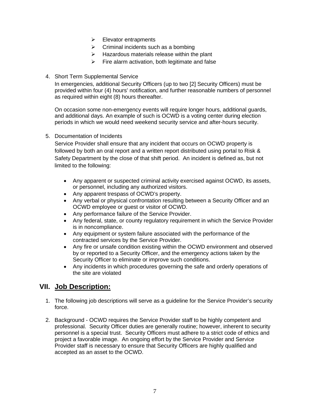- $\triangleright$  Elevator entrapments
- $\triangleright$  Criminal incidents such as a bombing
- $\triangleright$  Hazardous materials release within the plant
- $\triangleright$  Fire alarm activation, both legitimate and false
- 4. Short Term Supplemental Service

In emergencies, additional Security Officers (up to two [2] Security Officers) must be provided within four (4) hours' notification, and further reasonable numbers of personnel as required within eight (8) hours thereafter.

On occasion some non-emergency events will require longer hours, additional guards, and additional days. An example of such is OCWD is a voting center during election periods in which we would need weekend security service and after-hours security.

5. Documentation of Incidents

Service Provider shall ensure that any incident that occurs on OCWD property is followed by both an oral report and a written report distributed using portal to Risk & Safety Department by the close of that shift period. An incident is defined as, but not limited to the following:

- Any apparent or suspected criminal activity exercised against OCWD, its assets, or personnel, including any authorized visitors.
- Any apparent trespass of OCWD's property.
- Any verbal or physical confrontation resulting between a Security Officer and an OCWD employee or guest or visitor of OCWD.
- Any performance failure of the Service Provider.
- Any federal, state, or county regulatory requirement in which the Service Provider is in noncompliance.
- Any equipment or system failure associated with the performance of the contracted services by the Service Provider.
- Any fire or unsafe condition existing within the OCWD environment and observed by or reported to a Security Officer, and the emergency actions taken by the Security Officer to eliminate or improve such conditions.
- Any incidents in which procedures governing the safe and orderly operations of the site are violated

# **VII. Job Description:**

- 1. The following job descriptions will serve as a guideline for the Service Provider's security force.
- 2. Background OCWD requires the Service Provider staff to be highly competent and professional. Security Officer duties are generally routine; however, inherent to security personnel is a special trust. Security Officers must adhere to a strict code of ethics and project a favorable image. An ongoing effort by the Service Provider and Service Provider staff is necessary to ensure that Security Officers are highly qualified and accepted as an asset to the OCWD.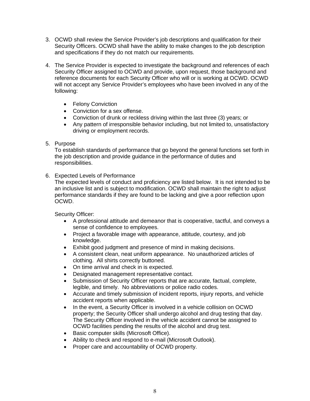- 3. OCWD shall review the Service Provider's job descriptions and qualification for their Security Officers. OCWD shall have the ability to make changes to the job description and specifications if they do not match our requirements.
- 4. The Service Provider is expected to investigate the background and references of each Security Officer assigned to OCWD and provide, upon request, those background and reference documents for each Security Officer who will or is working at OCWD. OCWD will not accept any Service Provider's employees who have been involved in any of the following:
	- Felony Conviction
	- Conviction for a sex offense.
	- Conviction of drunk or reckless driving within the last three (3) years; or
	- Any pattern of irresponsible behavior including, but not limited to, unsatisfactory driving or employment records.
- 5. Purpose

To establish standards of performance that go beyond the general functions set forth in the job description and provide guidance in the performance of duties and responsibilities.

6. Expected Levels of Performance

The expected levels of conduct and proficiency are listed below. It is not intended to be an inclusive list and is subject to modification. OCWD shall maintain the right to adjust performance standards if they are found to be lacking and give a poor reflection upon OCWD.

Security Officer:

- A professional attitude and demeanor that is cooperative, tactful, and conveys a sense of confidence to employees.
- Project a favorable image with appearance, attitude, courtesy, and job knowledge.
- Exhibit good judgment and presence of mind in making decisions.
- A consistent clean, neat uniform appearance. No unauthorized articles of clothing. All shirts correctly buttoned.
- On time arrival and check in is expected.
- Designated management representative contact.
- Submission of Security Officer reports that are accurate, factual, complete, legible, and timely. No abbreviations or police radio codes.
- Accurate and timely submission of incident reports, injury reports, and vehicle accident reports when applicable.
- In the event, a Security Officer is involved in a vehicle collision on OCWD property; the Security Officer shall undergo alcohol and drug testing that day. The Security Officer involved in the vehicle accident cannot be assigned to OCWD facilities pending the results of the alcohol and drug test.
- Basic computer skills (Microsoft Office).
- Ability to check and respond to e-mail (Microsoft Outlook).
- Proper care and accountability of OCWD property.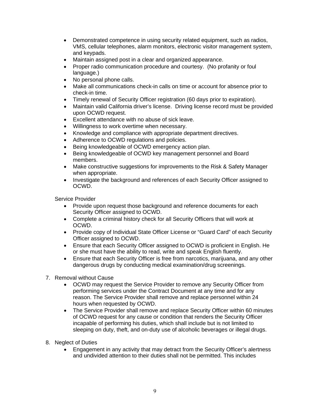- Demonstrated competence in using security related equipment, such as radios, VMS, cellular telephones, alarm monitors, electronic visitor management system, and keypads.
- Maintain assigned post in a clear and organized appearance.
- Proper radio communication procedure and courtesy. (No profanity or foul language.)
- No personal phone calls.
- Make all communications check-in calls on time or account for absence prior to check-in time.
- Timely renewal of Security Officer registration (60 days prior to expiration).
- Maintain valid California driver's license. Driving license record must be provided upon OCWD request.
- Excellent attendance with no abuse of sick leave.
- Willingness to work overtime when necessary.
- Knowledge and compliance with appropriate department directives.
- Adherence to OCWD regulations and policies.
- Being knowledgeable of OCWD emergency action plan.
- Being knowledgeable of OCWD key management personnel and Board members.
- Make constructive suggestions for improvements to the Risk & Safety Manager when appropriate.
- Investigate the background and references of each Security Officer assigned to OCWD.

Service Provider

- Provide upon request those background and reference documents for each Security Officer assigned to OCWD.
- Complete a criminal history check for all Security Officers that will work at OCWD.
- Provide copy of Individual State Officer License or "Guard Card" of each Security Officer assigned to OCWD.
- Ensure that each Security Officer assigned to OCWD is proficient in English. He or she must have the ability to read, write and speak English fluently.
- Ensure that each Security Officer is free from narcotics, marijuana, and any other dangerous drugs by conducting medical examination/drug screenings.
- 7. Removal without Cause
	- OCWD may request the Service Provider to remove any Security Officer from performing services under the Contract Document at any time and for any reason. The Service Provider shall remove and replace personnel within 24 hours when requested by OCWD.
	- The Service Provider shall remove and replace Security Officer within 60 minutes of OCWD request for any cause or condition that renders the Security Officer incapable of performing his duties, which shall include but is not limited to sleeping on duty, theft, and on-duty use of alcoholic beverages or illegal drugs.
- 8. Neglect of Duties
	- Engagement in any activity that may detract from the Security Officer's alertness and undivided attention to their duties shall not be permitted. This includes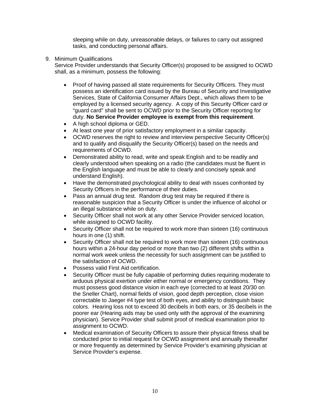sleeping while on duty, unreasonable delays, or failures to carry out assigned tasks, and conducting personal affairs.

9. Minimum Qualifications

Service Provider understands that Security Officer(s) proposed to be assigned to OCWD shall, as a minimum, possess the following:

- Proof of having passed all state requirements for Security Officers. They must possess an identification card issued by the Bureau of Security and Investigative Services, State of California Consumer Affairs Dept., which allows them to be employed by a licensed security agency. A copy of this Security Officer card or "guard card" shall be sent to OCWD prior to the Security Officer reporting for duty. **No Service Provider employee is exempt from this requirement**.
- A high school diploma or GED.
- At least one year of prior satisfactory employment in a similar capacity.
- OCWD reserves the right to review and interview perspective Security Officer(s) and to qualify and disqualify the Security Officer(s) based on the needs and requirements of OCWD.
- Demonstrated ability to read, write and speak English and to be readily and clearly understood when speaking on a radio (the candidates must be fluent in the English language and must be able to clearly and concisely speak and understand English).
- Have the demonstrated psychological ability to deal with issues confronted by Security Officers in the performance of their duties.
- Pass an annual drug test. Random drug test may be required if there is reasonable suspicion that a Security Officer is under the influence of alcohol or an illegal substance while on duty.
- Security Officer shall not work at any other Service Provider serviced location, while assigned to OCWD facility.
- Security Officer shall not be required to work more than sixteen (16) continuous hours in one (1) shift.
- Security Officer shall not be required to work more than sixteen (16) continuous hours within a 24-hour day period or more than two (2) different shifts within a normal work week unless the necessity for such assignment can be justified to the satisfaction of OCWD.
- Possess valid First Aid certification.
- Security Officer must be fully capable of performing duties requiring moderate to arduous physical exertion under either normal or emergency conditions. They must possess good distance vision in each eye (corrected to at least 20/30 on the Sneller Chart), normal fields of vision, good depth perception, close vision correctable to Jaeger #4 type test of both eyes, and ability to distinguish basic colors. Hearing loss not to exceed 30 decibels in both ears, or 35 decibels in the poorer ear (Hearing aids may be used only with the approval of the examining physician). Service Provider shall submit proof of medical examination prior to assignment to OCWD.
- Medical examination of Security Officers to assure their physical fitness shall be conducted prior to initial request for OCWD assignment and annually thereafter or more frequently as determined by Service Provider's examining physician at Service Provider's expense.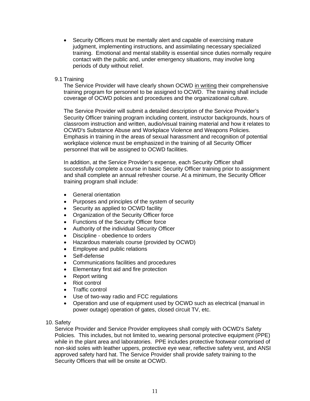• Security Officers must be mentally alert and capable of exercising mature judgment, implementing instructions, and assimilating necessary specialized training. Emotional and mental stability is essential since duties normally require contact with the public and, under emergency situations, may involve long periods of duty without relief.

#### 9.1 Training

The Service Provider will have clearly shown OCWD in writing their comprehensive training program for personnel to be assigned to OCWD. The training shall include coverage of OCWD policies and procedures and the organizational culture.

The Service Provider will submit a detailed description of the Service Provider's Security Officer training program including content, instructor backgrounds, hours of classroom instruction and written, audio/visual training material and how it relates to OCWD's Substance Abuse and Workplace Violence and Weapons Policies. Emphasis in training in the areas of sexual harassment and recognition of potential workplace violence must be emphasized in the training of all Security Officer personnel that will be assigned to OCWD facilities.

In addition, at the Service Provider's expense, each Security Officer shall successfully complete a course in basic Security Officer training prior to assignment and shall complete an annual refresher course. At a minimum, the Security Officer training program shall include:

- General orientation
- Purposes and principles of the system of security
- Security as applied to OCWD facility
- Organization of the Security Officer force
- Functions of the Security Officer force
- Authority of the individual Security Officer
- Discipline obedience to orders
- Hazardous materials course (provided by OCWD)
- Employee and public relations
- Self-defense
- Communications facilities and procedures
- Elementary first aid and fire protection
- Report writing
- Riot control
- Traffic control
- Use of two-way radio and FCC regulations
- Operation and use of equipment used by OCWD such as electrical (manual in power outage) operation of gates, closed circuit TV, etc.
- 10. Safety

Service Provider and Service Provider employees shall comply with OCWD's Safety Policies. This includes, but not limited to, wearing personal protective equipment (PPE) while in the plant area and laboratories. PPE includes protective footwear comprised of non-skid soles with leather uppers, protective eye wear, reflective safety vest, and ANSI approved safety hard hat. The Service Provider shall provide safety training to the Security Officers that will be onsite at OCWD.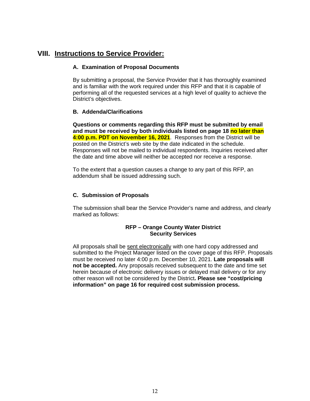# **VIII. Instructions to Service Provider:**

#### **A. Examination of Proposal Documents**

By submitting a proposal, the Service Provider that it has thoroughly examined and is familiar with the work required under this RFP and that it is capable of performing all of the requested services at a high level of quality to achieve the District's objectives.

#### **B. Addenda/Clarifications**

**Questions or comments regarding this RFP must be submitted by email and must be received by both individuals listed on page 18 no later than 4:00 p.m. PDT on November 16, 2021**. Responses from the District will be posted on the District's web site by the date indicated in the schedule. Responses will not be mailed to individual respondents. Inquiries received after the date and time above will neither be accepted nor receive a response.

To the extent that a question causes a change to any part of this RFP, an addendum shall be issued addressing such.

#### **C. Submission of Proposals**

The submission shall bear the Service Provider's name and address, and clearly marked as follows:

#### **RFP – Orange County Water District Security Services**

All proposals shall be sent electronically with one hard copy addressed and submitted to the Project Manager listed on the cover page of this RFP. Proposals must be received no later 4:00 p.m. December 10, 2021. **Late proposals will not be accepted.** Any proposals received subsequent to the date and time set herein because of electronic delivery issues or delayed mail delivery or for any other reason will not be considered by the District**. Please see "cost/pricing information" on page 16 for required cost submission process.**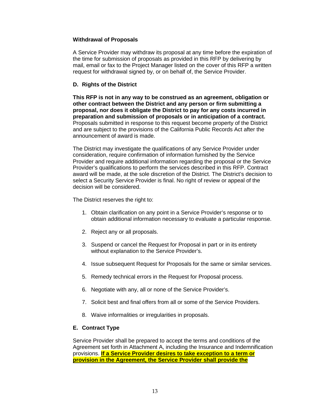#### **Withdrawal of Proposals**

A Service Provider may withdraw its proposal at any time before the expiration of the time for submission of proposals as provided in this RFP by delivering by mail, email or fax to the Project Manager listed on the cover of this RFP a written request for withdrawal signed by, or on behalf of, the Service Provider.

#### **D. Rights of the District**

**This RFP is not in any way to be construed as an agreement, obligation or other contract between the District and any person or firm submitting a proposal, nor does it obligate the District to pay for any costs incurred in preparation and submission of proposals or in anticipation of a contract.**  Proposals submitted in response to this request become property of the District and are subject to the provisions of the California Public Records Act after the announcement of award is made.

The District may investigate the qualifications of any Service Provider under consideration, require confirmation of information furnished by the Service Provider and require additional information regarding the proposal or the Service Provider's qualifications to perform the services described in this RFP. Contract award will be made, at the sole discretion of the District. The District's decision to select a Security Service Provider is final. No right of review or appeal of the decision will be considered.

The District reserves the right to:

- 1. Obtain clarification on any point in a Service Provider's response or to obtain additional information necessary to evaluate a particular response.
- 2. Reject any or all proposals.
- 3. Suspend or cancel the Request for Proposal in part or in its entirety without explanation to the Service Provider's.
- 4. Issue subsequent Request for Proposals for the same or similar services.
- 5. Remedy technical errors in the Request for Proposal process.
- 6. Negotiate with any, all or none of the Service Provider's.
- 7. Solicit best and final offers from all or some of the Service Providers.
- 8. Waive informalities or irregularities in proposals.

#### **E. Contract Type**

Service Provider shall be prepared to accept the terms and conditions of the Agreement set forth in Attachment A, including the Insurance and Indemnification provisions. **If a Service Provider desires to take exception to a term or provision in the Agreement, the Service Provider shall provide the**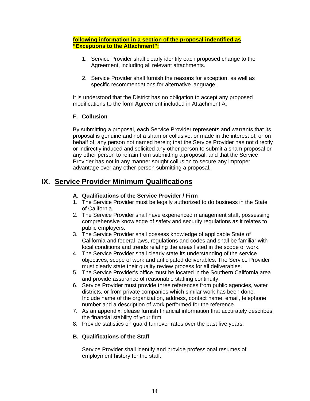#### **following information in a section of the proposal indentified as "Exceptions to the Attachment":**

- 1. Service Provider shall clearly identify each proposed change to the Agreement, including all relevant attachments.
- 2. Service Provider shall furnish the reasons for exception, as well as specific recommendations for alternative language.

It is understood that the District has no obligation to accept any proposed modifications to the form Agreement included in Attachment A.

#### **F. Collusion**

By submitting a proposal, each Service Provider represents and warrants that its proposal is genuine and not a sham or collusive, or made in the interest of, or on behalf of, any person not named herein; that the Service Provider has not directly or indirectly induced and solicited any other person to submit a sham proposal or any other person to refrain from submitting a proposal; and that the Service Provider has not in any manner sought collusion to secure any improper advantage over any other person submitting a proposal.

# **IX. Service Provider Minimum Qualifications**

#### **A. Qualifications of the Service Provider / Firm**

- 1. The Service Provider must be legally authorized to do business in the State of California.
- 2. The Service Provider shall have experienced management staff, possessing comprehensive knowledge of safety and security regulations as it relates to public employers.
- 3. The Service Provider shall possess knowledge of applicable State of California and federal laws, regulations and codes and shall be familiar with local conditions and trends relating the areas listed in the scope of work.
- 4. The Service Provider shall clearly state its understanding of the service objectives, scope of work and anticipated deliverables. The Service Provider must clearly state their quality review process for all deliverables.
- 5. The Service Provider's office must be located in the Southern California area and provide assurance of reasonable staffing continuity.
- 6. Service Provider must provide three references from public agencies, water districts, or from private companies which similar work has been done. Include name of the organization, address, contact name, email, telephone number and a description of work performed for the reference.
- 7. As an appendix, please furnish financial information that accurately describes the financial stability of your firm.
- 8. Provide statistics on guard turnover rates over the past five years.

#### **B. Qualifications of the Staff**

Service Provider shall identify and provide professional resumes of employment history for the staff.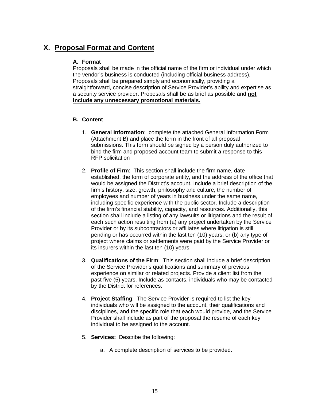# **X. Proposal Format and Content**

#### **A. Format**

Proposals shall be made in the official name of the firm or individual under which the vendor's business is conducted (including official business address). Proposals shall be prepared simply and economically, providing a straightforward, concise description of Service Provider's ability and expertise as a security service provider. Proposals shall be as brief as possible and **not include any unnecessary promotional materials.**

#### **B. Content**

- 1. **General Information**: complete the attached General Information Form (Attachment B) and place the form in the front of all proposal submissions. This form should be signed by a person duly authorized to bind the firm and proposed account team to submit a response to this RFP solicitation
- 2. **Profile of Firm**: This section shall include the firm name, date established, the form of corporate entity, and the address of the office that would be assigned the District's account. Include a brief description of the firm's history, size, growth, philosophy and culture, the number of employees and number of years in business under the same name, including specific experience with the public sector. Include a description of the firm's financial stability, capacity, and resources. Additionally, this section shall include a listing of any lawsuits or litigations and the result of each such action resulting from (a) any project undertaken by the Service Provider or by its subcontractors or affiliates where litigation is still pending or has occurred within the last ten (10) years; or (b) any type of project where claims or settlements were paid by the Service Provider or its insurers within the last ten (10) years.
- 3. **Qualifications of the Firm**: This section shall include a brief description of the Service Provider's qualifications and summary of previous experience on similar or related projects. Provide a client list from the past five (5) years. Include as contacts, individuals who may be contacted by the District for references.
- 4. **Project Staffing**: The Service Provider is required to list the key individuals who will be assigned to the account, their qualifications and disciplines, and the specific role that each would provide, and the Service Provider shall include as part of the proposal the resume of each key individual to be assigned to the account.
- 5. **Services:** Describe the following:
	- a. A complete description of services to be provided.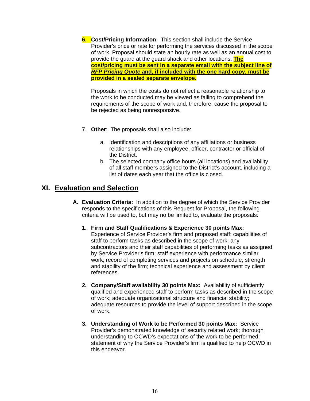**6. Cost/Pricing Information**: This section shall include the Service Provider's price or rate for performing the services discussed in the scope of work. Proposal should state an hourly rate as well as an annual cost to provide the guard at the guard shack and other locations. **The cost/pricing must be sent in a separate email with the subject line of** *RFP Pricing Quote* **and, if included with the one hard copy, must be provided in a sealed separate envelope.**

Proposals in which the costs do not reflect a reasonable relationship to the work to be conducted may be viewed as failing to comprehend the requirements of the scope of work and, therefore, cause the proposal to be rejected as being nonresponsive.

- 7. **Other**: The proposals shall also include:
	- a. Identification and descriptions of any affiliations or business relationships with any employee, officer, contractor or official of the District.
	- b. The selected company office hours (all locations) and availability of all staff members assigned to the District's account, including a list of dates each year that the office is closed.

# **XI. Evaluation and Selection**

- **A. Evaluation Criteria:** In addition to the degree of which the Service Provider responds to the specifications of this Request for Proposal, the following criteria will be used to, but may no be limited to, evaluate the proposals:
	- **1. Firm and Staff Qualifications & Experience 30 points Max:**  Experience of Service Provider's firm and proposed staff; capabilities of staff to perform tasks as described in the scope of work; any subcontractors and their staff capabilities of performing tasks as assigned by Service Provider's firm; staff experience with performance similar work; record of completing services and projects on schedule; strength and stability of the firm; technical experience and assessment by client references.
	- **2. Company/Staff availability 30 points Max:** Availability of sufficiently qualified and experienced staff to perform tasks as described in the scope of work; adequate organizational structure and financial stability; adequate resources to provide the level of support described in the scope of work.
	- **3. Understanding of Work to be Performed 30 points Max:** Service Provider's demonstrated knowledge of security related work; thorough understanding to OCWD's expectations of the work to be performed; statement of why the Service Provider's firm is qualified to help OCWD in this endeavor.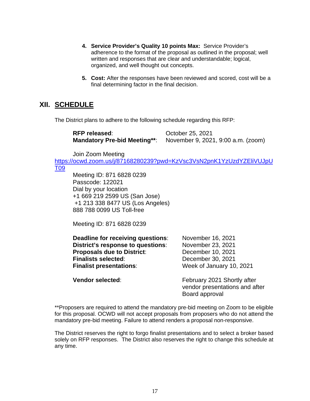- **4. Service Provider's Quality 10 points Max:** Service Provider's adherence to the format of the proposal as outlined in the proposal; well written and responses that are clear and understandable; logical, organized, and well thought out concepts.
- **5. Cost:** After the responses have been reviewed and scored, cost will be a final determining factor in the final decision.

### **XII. SCHEDULE**

The District plans to adhere to the following schedule regarding this RFP:

| <b>RFP released:</b> | October 25, 2021                                                |
|----------------------|-----------------------------------------------------------------|
|                      | Mandatory Pre-bid Meeting**: November 9, 2021, 9:00 a.m. (zoom) |

Join Zoom Meeting

[https://ocwd.zoom.us/j/87168280239?pwd=KzVsc3VsN2pnK1YzUzdYZEliVUJpU](https://ocwd.zoom.us/j/87168280239?pwd=KzVsc3VsN2pnK1YzUzdYZEliVUJpUT09) [T09](https://ocwd.zoom.us/j/87168280239?pwd=KzVsc3VsN2pnK1YzUzdYZEliVUJpUT09)

Meeting ID: 871 6828 0239 Passcode: 122021 Dial by your location +1 669 219 2599 US (San Jose) +1 213 338 8477 US (Los Angeles) 888 788 0099 US Toll-free

Meeting ID: 871 6828 0239

| Deadline for receiving questions: | November 16, 2021        |
|-----------------------------------|--------------------------|
| District's response to questions: | November 23, 2021        |
| <b>Proposals due to District:</b> | December 10, 2021        |
| <b>Finalists selected:</b>        | December 30, 2021        |
| <b>Finalist presentations:</b>    | Week of January 10, 2021 |
|                                   |                          |

**Vendor selected:** February 2021 Shortly after vendor presentations and after Board approval

\*\*Proposers are required to attend the mandatory pre-bid meeting on Zoom to be eligible for this proposal. OCWD will not accept proposals from proposers who do not attend the mandatory pre-bid meeting. Failure to attend renders a proposal non-responsive.

The District reserves the right to forgo finalist presentations and to select a broker based solely on RFP responses. The District also reserves the right to change this schedule at any time.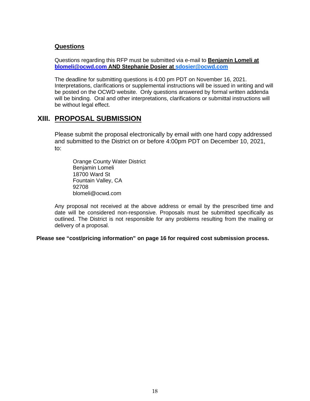#### **Questions**

Questions regarding this RFP must be submitted via e-mail to **Benjamin Lomeli at [blomeli@ocwd.com](mailto:blomeli@ocwd.com) AND Stephanie Dosier at sdosier@ocwd.com**

The deadline for submitting questions is 4:00 pm PDT on November 16, 2021. Interpretations, clarifications or supplemental instructions will be issued in writing and will be posted on the OCWD website. Only questions answered by formal written addenda will be binding. Oral and other interpretations, clarifications or submittal instructions will be without legal effect.

### **XIII. PROPOSAL SUBMISSION**

Please submit the proposal electronically by email with one hard copy addressed and submitted to the District on or before 4:00pm PDT on December 10, 2021, to:

Orange County Water District Benjamin Lomeli 18700 Ward St Fountain Valley, CA 92708 blomeli@ocwd.com

Any proposal not received at the above address or email by the prescribed time and date will be considered non-responsive. Proposals must be submitted specifically as outlined. The District is not responsible for any problems resulting from the mailing or delivery of a proposal.

**Please see "cost/pricing information" on page 16 for required cost submission process.**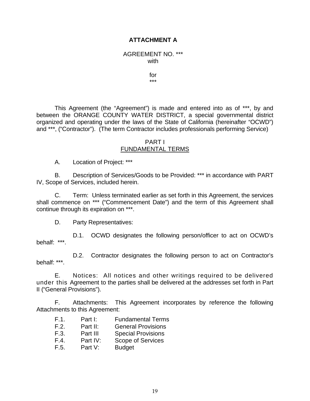#### **ATTACHMENT A**

AGREEMENT NO. \*\*\* with

> for \*\*\*

This Agreement (the "Agreement") is made and entered into as of \*\*\*, by and between the ORANGE COUNTY WATER DISTRICT, a special governmental district organized and operating under the laws of the State of California (hereinafter "OCWD") and \*\*\*, ("Contractor"). (The term Contractor includes professionals performing Service)

#### PART I FUNDAMENTAL TERMS

A. Location of Project: \*\*\*

B. Description of Services/Goods to be Provided: \*\*\* in accordance with PART IV, Scope of Services, included herein.

C. Term: Unless terminated earlier as set forth in this Agreement, the services shall commence on \*\*\* ("Commencement Date") and the term of this Agreement shall continue through its expiration on \*\*\*.

D. Party Representatives:

D.1. OCWD designates the following person/officer to act on OCWD's behalf: \*\*\*.

D.2. Contractor designates the following person to act on Contractor's behalf: \*\*\*.

E. Notices: All notices and other writings required to be delivered under this Agreement to the parties shall be delivered at the addresses set forth in Part II ("General Provisions").

F. Attachments: This Agreement incorporates by reference the following Attachments to this Agreement:

- F.1. Part I: Fundamental Terms<br>F.2. Part II: General Provisions
- Part II: General Provisions
- F.3. Part III Special Provisions
- F.4. Part IV: Scope of Services
- F.5. Part V: Budget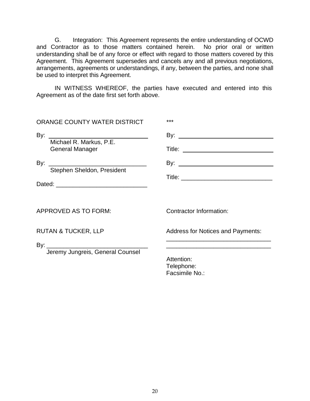G. Integration: This Agreement represents the entire understanding of OCWD and Contractor as to those matters contained herein. No prior oral or written understanding shall be of any force or effect with regard to those matters covered by this Agreement. This Agreement supersedes and cancels any and all previous negotiations, arrangements, agreements or understandings, if any, between the parties, and none shall be used to interpret this Agreement.

IN WITNESS WHEREOF, the parties have executed and entered into this Agreement as of the date first set forth above.

| ORANGE COUNTY WATER DISTRICT                      | ***                                        |
|---------------------------------------------------|--------------------------------------------|
| Michael R. Markus, P.E.<br><b>General Manager</b> |                                            |
| By: Stephen Sheldon, President                    |                                            |
| APPROVED AS TO FORM:                              | Contractor Information:                    |
| <b>RUTAN &amp; TUCKER, LLP</b>                    | <b>Address for Notices and Payments:</b>   |
| Jeremy Jungreis, General Counsel                  | Attention:<br>Telephone:<br>Facsimile No.: |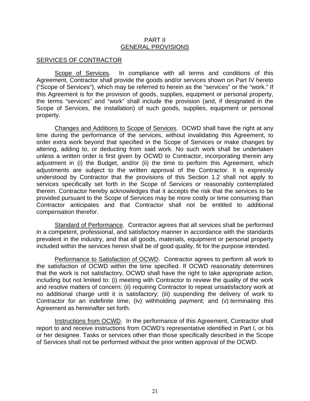#### PART II GENERAL PROVISIONS

#### SERVICES OF CONTRACTOR

Scope of Services. In compliance with all terms and conditions of this Agreement, Contractor shall provide the goods and/or services shown on Part IV hereto ("Scope of Services"), which may be referred to herein as the "services" or the "work." If this Agreement is for the provision of goods, supplies, equipment or personal property, the terms "services" and "work" shall include the provision (and, if designated in the Scope of Services, the installation) of such goods, supplies, equipment or personal property.

Changes and Additions to Scope of Services. OCWD shall have the right at any time during the performance of the services, without invalidating this Agreement, to order extra work beyond that specified in the Scope of Services or make changes by altering, adding to, or deducting from said work. No such work shall be undertaken unless a written order is first given by OCWD to Contractor, incorporating therein any adjustment in (i) the Budget, and/or (ii) the time to perform this Agreement, which adjustments are subject to the written approval of the Contractor. It is expressly understood by Contractor that the provisions of this Section 1.2 shall not apply to services specifically set forth in the Scope of Services or reasonably contemplated therein. Contractor hereby acknowledges that it accepts the risk that the services to be provided pursuant to the Scope of Services may be more costly or time consuming than Contractor anticipates and that Contractor shall not be entitled to additional compensation therefor.

Standard of Performance. Contractor agrees that all services shall be performed in a competent, professional, and satisfactory manner in accordance with the standards prevalent in the industry, and that all goods, materials, equipment or personal property included within the services herein shall be of good quality, fit for the purpose intended.

Performance to Satisfaction of OCWD. Contractor agrees to perform all work to the satisfaction of OCWD within the time specified. If OCWD reasonably determines that the work is not satisfactory, OCWD shall have the right to take appropriate action, including but not limited to: (i) meeting with Contractor to review the quality of the work and resolve matters of concern; (ii) requiring Contractor to repeat unsatisfactory work at no additional charge until it is satisfactory; (iii) suspending the delivery of work to Contractor for an indefinite time; (iv) withholding payment; and (v) terminating this Agreement as hereinafter set forth.

Instructions from OCWD. In the performance of this Agreement, Contractor shall report to and receive instructions from OCWD's representative identified in Part I, or his or her designee. Tasks or services other than those specifically described in the Scope of Services shall not be performed without the prior written approval of the OCWD.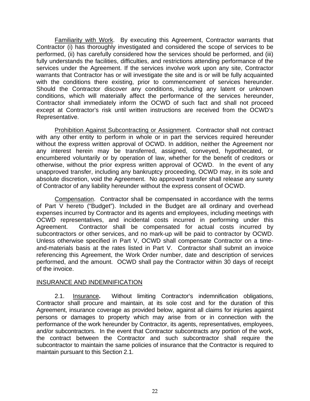Familiarity with Work. By executing this Agreement, Contractor warrants that Contractor (i) has thoroughly investigated and considered the scope of services to be performed, (ii) has carefully considered how the services should be performed, and (iii) fully understands the facilities, difficulties, and restrictions attending performance of the services under the Agreement. If the services involve work upon any site, Contractor warrants that Contractor has or will investigate the site and is or will be fully acquainted with the conditions there existing, prior to commencement of services hereunder. Should the Contractor discover any conditions, including any latent or unknown conditions, which will materially affect the performance of the services hereunder, Contractor shall immediately inform the OCWD of such fact and shall not proceed except at Contractor's risk until written instructions are received from the OCWD's Representative.

Prohibition Against Subcontracting or Assignment. Contractor shall not contract with any other entity to perform in whole or in part the services required hereunder without the express written approval of OCWD. In addition, neither the Agreement nor any interest herein may be transferred, assigned, conveyed, hypothecated, or encumbered voluntarily or by operation of law, whether for the benefit of creditors or otherwise, without the prior express written approval of OCWD. In the event of any unapproved transfer, including any bankruptcy proceeding, OCWD may, in its sole and absolute discretion, void the Agreement. No approved transfer shall release any surety of Contractor of any liability hereunder without the express consent of OCWD.

Compensation. Contractor shall be compensated in accordance with the terms of Part V hereto ("Budget"). Included in the Budget are all ordinary and overhead expenses incurred by Contractor and its agents and employees, including meetings with OCWD representatives, and incidental costs incurred in performing under this Agreement. Contractor shall be compensated for actual costs incurred by subcontractors or other services, and no mark-up will be paid to contractor by OCWD. Unless otherwise specified in Part V, OCWD shall compensate Contractor on a timeand-materials basis at the rates listed in Part V. Contractor shall submit an invoice referencing this Agreement, the Work Order number, date and description of services performed, and the amount. OCWD shall pay the Contractor within 30 days of receipt of the invoice.

#### INSURANCE AND INDEMNIFICATION

2.1. Insurance**.** Without limiting Contractor's indemnification obligations, Contractor shall procure and maintain, at its sole cost and for the duration of this Agreement, insurance coverage as provided below, against all claims for injuries against persons or damages to property which may arise from or in connection with the performance of the work hereunder by Contractor, its agents, representatives, employees, and/or subcontractors. In the event that Contractor subcontracts any portion of the work, the contract between the Contractor and such subcontractor shall require the subcontractor to maintain the same policies of insurance that the Contractor is required to maintain pursuant to this Section 2.1.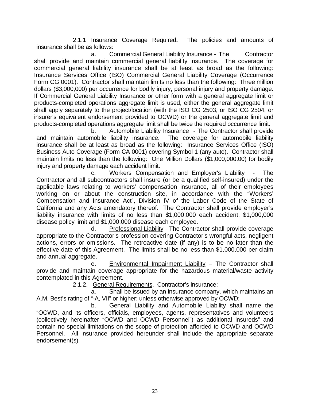2.1.1 Insurance Coverage Required**.** The policies and amounts of insurance shall be as follows:

 a. Commercial General Liability Insurance - The Contractor shall provide and maintain commercial general liability insurance. The coverage for commercial general liability insurance shall be at least as broad as the following: Insurance Services Office (ISO) Commercial General Liability Coverage (Occurrence Form CG 0001). Contractor shall maintain limits no less than the following: Three million dollars (\$3,000,000) per occurrence for bodily injury, personal injury and property damage. If Commercial General Liability Insurance or other form with a general aggregate limit or products-completed operations aggregate limit is used, either the general aggregate limit shall apply separately to the project/location (with the ISO CG 2503, or ISO CG 2504, or insurer's equivalent endorsement provided to OCWD) or the general aggregate limit and products-completed operations aggregate limit shall be twice the required occurrence limit.

 b. Automobile Liability Insurance - The Contractor shall provide and maintain automobile liability insurance. The coverage for automobile liability insurance shall be at least as broad as the following: Insurance Services Office (ISO) Business Auto Coverage (Form CA 0001) covering Symbol 1 (any auto). Contractor shall maintain limits no less than the following: One Million Dollars (\$1,000,000.00) for bodily injury and property damage each accident limit.

 c. Workers Compensation and Employer's Liability - The Contractor and all subcontractors shall insure (or be a qualified self-insured) under the applicable laws relating to workers' compensation insurance, all of their employees working on or about the construction site, in accordance with the "Workers' Compensation and Insurance Act", Division IV of the Labor Code of the State of California and any Acts amendatory thereof. The Contractor shall provide employer's liability insurance with limits of no less than \$1,000,000 each accident, \$1,000,000 disease policy limit and \$1,000,000 disease each employee.

 d. Professional Liability - The Contractor shall provide coverage appropriate to the Contractor's profession covering Contractor's wrongful acts, negligent actions, errors or omissions. The retroactive date (if any) is to be no later than the effective date of this Agreement. The limits shall be no less than \$1,000,000 per claim and annual aggregate.

 e. Environmental Impairment Liability – The Contractor shall provide and maintain coverage appropriate for the hazardous material/waste activity contemplated in this Agreement.

2.1.2. General Requirements. Contractor's insurance:

 a. Shall be issued by an insurance company, which maintains an A.M. Best's rating of "-A, VII" or higher; unless otherwise approved by OCWD;

 b. General Liability and Automobile Liability shall name the "OCWD, and its officers, officials, employees, agents, representatives and volunteers (collectively hereinafter "OCWD and OCWD Personnel") as additional insureds" and contain no special limitations on the scope of protection afforded to OCWD and OCWD Personnel. All insurance provided hereunder shall include the appropriate separate endorsement(s).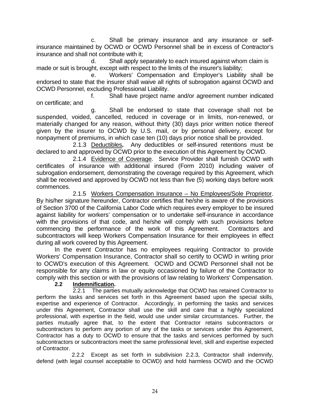c. Shall be primary insurance and any insurance or selfinsurance maintained by OCWD or OCWD Personnel shall be in excess of Contractor's insurance and shall not contribute with it;

d. Shall apply separately to each insured against whom claim is made or suit is brought, except with respect to the limits of the insurer's liability;

 e. Workers' Compensation and Employer's Liability shall be endorsed to state that the insurer shall waive all rights of subrogation against OCWD and OCWD Personnel, excluding Professional Liability.

 f. Shall have project name and/or agreement number indicated on certificate; and

 g. Shall be endorsed to state that coverage shall not be suspended, voided, cancelled, reduced in coverage or in limits, non-renewed, or materially changed for any reason, without thirty (30) days prior written notice thereof given by the insurer to OCWD by U.S. mail, or by personal delivery, except for nonpayment of premiums, in which case ten (10) days prior notice shall be provided.

 2.1.3 Deductibles**.** Any deductibles or self-insured retentions must be declared to and approved by OCWD prior to the execution of this Agreement by OCWD.

2.1.4 Evidence of Coverage. Service Provider shall furnish OCWD with certificates of insurance with additional insured (Form 2010) including waiver of subrogation endorsement, demonstrating the coverage required by this Agreement, which shall be received and approved by OCWD not less than five (5) working days before work commences.

2.1.5 Workers Compensation Insurance – No Employees/Sole Proprietor. By his/her signature hereunder, Contractor certifies that he/she is aware of the provisions of Section 3700 of the California Labor Code which requires every employer to be insured against liability for workers' compensation or to undertake self-insurance in accordance with the provisions of that code, and he/she will comply with such provisions before commencing the performance of the work of this Agreement. Contractors and subcontractors will keep Workers Compensation Insurance for their employees in effect during all work covered by this Agreement.

In the event Contractor has no employees requiring Contractor to provide Workers' Compensation Insurance, Contractor shall so certify to OCWD in writing prior to OCWD's execution of this Agreement. OCWD and OCWD Personnel shall not be responsible for any claims in law or equity occasioned by failure of the Contractor to comply with this section or with the provisions of law relating to Workers' Compensation.

#### **2.2 Indemnification.**

2.2.1 The parties mutually acknowledge that OCWD has retained Contractor to perform the tasks and services set forth in this Agreement based upon the special skills, expertise and experience of Contractor. Accordingly, in performing the tasks and services under this Agreement, Contractor shall use the skill and care that a highly specialized professional, with expertise in the field, would use under similar circumstances. Further, the parties mutually agree that, to the extent that Contractor retains subcontractors or subcontractors to perform any portion of any of the tasks or services under this Agreement, Contractor has a duty to OCWD to ensure that the tasks and services performed by such subcontractors or subcontractors meet the same professional level, skill and expertise expected of Contractor.

2.2.2 Except as set forth in subdivision 2.2.3, Contractor shall indemnify, defend (with legal counsel acceptable to OCWD) and hold harmless OCWD and the OCWD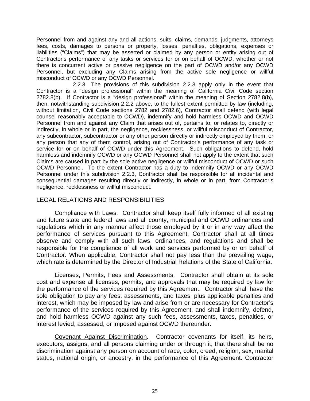Personnel from and against any and all actions, suits, claims, demands, judgments, attorneys fees, costs, damages to persons or property, losses, penalties, obligations, expenses or liabilities ("Claims") that may be asserted or claimed by any person or entity arising out of Contractor's performance of any tasks or services for or on behalf of OCWD, whether or not there is concurrent active or passive negligence on the part of OCWD and/or any OCWD Personnel, but excluding any Claims arising from the active sole negligence or willful misconduct of OCWD or any OCWD Personnel.

2.2.3 The provisions of this subdivision 2.2.3 apply only in the event that Contractor is a "design professional" within the meaning of California Civil Code section 2782.8(b). If Contractor is a "design professional" within the meaning of Section 2782.8(b), then, notwithstanding subdivision 2.2.2 above, to the fullest extent permitted by law (including, without limitation, Civil Code sections 2782 and 2782.6), Contractor shall defend (with legal counsel reasonably acceptable to OCWD), indemnify and hold harmless OCWD and OCWD Personnel from and against any Claim that arises out of, pertains to, or relates to, directly or indirectly, in whole or in part, the negligence, recklessness, or willful misconduct of Contractor, any subcontractor, subcontractor or any other person directly or indirectly employed by them, or any person that any of them control, arising out of Contractor's performance of any task or service for or on behalf of OCWD under this Agreement. Such obligations to defend, hold harmless and indemnify OCWD or any OCWD Personnel shall not apply to the extent that such Claims are caused in part by the sole active negligence or willful misconduct of OCWD or such OCWD Personnel. To the extent Contractor has a duty to indemnify OCWD or any OCWD Personnel under this subdivision 2.2.3, Contractor shall be responsible for all incidental and consequential damages resulting directly or indirectly, in whole or in part, from Contractor's negligence, recklessness or willful misconduct.

#### LEGAL RELATIONS AND RESPONSIBILITIES

Compliance with Laws. Contractor shall keep itself fully informed of all existing and future state and federal laws and all county, municipal and OCWD ordinances and regulations which in any manner affect those employed by it or in any way affect the performance of services pursuant to this Agreement. Contractor shall at all times observe and comply with all such laws, ordinances, and regulations and shall be responsible for the compliance of all work and services performed by or on behalf of Contractor. When applicable, Contractor shall not pay less than the prevailing wage, which rate is determined by the Director of Industrial Relations of the State of California.

Licenses, Permits, Fees and Assessments. Contractor shall obtain at its sole cost and expense all licenses, permits, and approvals that may be required by law for the performance of the services required by this Agreement. Contractor shall have the sole obligation to pay any fees, assessments, and taxes, plus applicable penalties and interest, which may be imposed by law and arise from or are necessary for Contractor's performance of the services required by this Agreement, and shall indemnify, defend, and hold harmless OCWD against any such fees, assessments, taxes, penalties, or interest levied, assessed, or imposed against OCWD thereunder.

Covenant Against Discrimination. Contractor covenants for itself, its heirs, executors, assigns, and all persons claiming under or through it, that there shall be no discrimination against any person on account of race, color, creed, religion, sex, marital status, national origin, or ancestry, in the performance of this Agreement. Contractor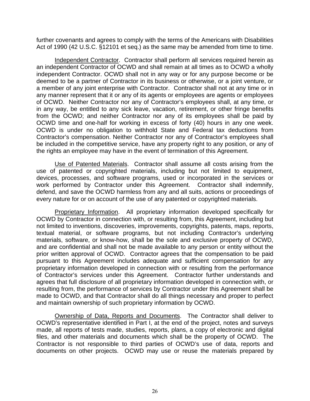further covenants and agrees to comply with the terms of the Americans with Disabilities Act of 1990 (42 U.S.C. §12101 et seq.) as the same may be amended from time to time.

Independent Contractor. Contractor shall perform all services required herein as an independent Contractor of OCWD and shall remain at all times as to OCWD a wholly independent Contractor. OCWD shall not in any way or for any purpose become or be deemed to be a partner of Contractor in its business or otherwise, or a joint venture, or a member of any joint enterprise with Contractor. Contractor shall not at any time or in any manner represent that it or any of its agents or employees are agents or employees of OCWD. Neither Contractor nor any of Contractor's employees shall, at any time, or in any way, be entitled to any sick leave, vacation, retirement, or other fringe benefits from the OCWD; and neither Contractor nor any of its employees shall be paid by OCWD time and one-half for working in excess of forty (40) hours in any one week. OCWD is under no obligation to withhold State and Federal tax deductions from Contractor's compensation. Neither Contractor nor any of Contractor's employees shall be included in the competitive service, have any property right to any position, or any of the rights an employee may have in the event of termination of this Agreement.

Use of Patented Materials. Contractor shall assume all costs arising from the use of patented or copyrighted materials, including but not limited to equipment, devices, processes, and software programs, used or incorporated in the services or work performed by Contractor under this Agreement. Contractor shall indemnify, defend, and save the OCWD harmless from any and all suits, actions or proceedings of every nature for or on account of the use of any patented or copyrighted materials.

Proprietary Information. All proprietary information developed specifically for OCWD by Contractor in connection with, or resulting from, this Agreement, including but not limited to inventions, discoveries, improvements, copyrights, patents, maps, reports, textual material, or software programs, but not including Contractor's underlying materials, software, or know-how, shall be the sole and exclusive property of OCWD, and are confidential and shall not be made available to any person or entity without the prior written approval of OCWD. Contractor agrees that the compensation to be paid pursuant to this Agreement includes adequate and sufficient compensation for any proprietary information developed in connection with or resulting from the performance of Contractor's services under this Agreement. Contractor further understands and agrees that full disclosure of all proprietary information developed in connection with, or resulting from, the performance of services by Contractor under this Agreement shall be made to OCWD, and that Contractor shall do all things necessary and proper to perfect and maintain ownership of such proprietary information by OCWD.

Ownership of Data, Reports and Documents. The Contractor shall deliver to OCWD's representative identified in Part I, at the end of the project, notes and surveys made, all reports of tests made, studies, reports, plans, a copy of electronic and digital files, and other materials and documents which shall be the property of OCWD. The Contractor is not responsible to third parties of OCWD's use of data, reports and documents on other projects. OCWD may use or reuse the materials prepared by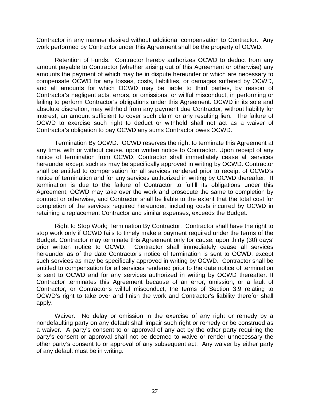Contractor in any manner desired without additional compensation to Contractor. Any work performed by Contractor under this Agreement shall be the property of OCWD.

Retention of Funds. Contractor hereby authorizes OCWD to deduct from any amount payable to Contractor (whether arising out of this Agreement or otherwise) any amounts the payment of which may be in dispute hereunder or which are necessary to compensate OCWD for any losses, costs, liabilities, or damages suffered by OCWD, and all amounts for which OCWD may be liable to third parties, by reason of Contractor's negligent acts, errors, or omissions, or willful misconduct, in performing or failing to perform Contractor's obligations under this Agreement. OCWD in its sole and absolute discretion, may withhold from any payment due Contractor, without liability for interest, an amount sufficient to cover such claim or any resulting lien. The failure of OCWD to exercise such right to deduct or withhold shall not act as a waiver of Contractor's obligation to pay OCWD any sums Contractor owes OCWD.

Termination By OCWD. OCWD reserves the right to terminate this Agreement at any time, with or without cause, upon written notice to Contractor. Upon receipt of any notice of termination from OCWD, Contractor shall immediately cease all services hereunder except such as may be specifically approved in writing by OCWD. Contractor shall be entitled to compensation for all services rendered prior to receipt of OCWD's notice of termination and for any services authorized in writing by OCWD thereafter. If termination is due to the failure of Contractor to fulfill its obligations under this Agreement, OCWD may take over the work and prosecute the same to completion by contract or otherwise, and Contractor shall be liable to the extent that the total cost for completion of the services required hereunder, including costs incurred by OCWD in retaining a replacement Contractor and similar expenses, exceeds the Budget.

Right to Stop Work; Termination By Contractor. Contractor shall have the right to stop work only if OCWD fails to timely make a payment required under the terms of the Budget. Contractor may terminate this Agreement only for cause, upon thirty (30) days' prior written notice to OCWD. Contractor shall immediately cease all services hereunder as of the date Contractor's notice of termination is sent to OCWD, except such services as may be specifically approved in writing by OCWD. Contractor shall be entitled to compensation for all services rendered prior to the date notice of termination is sent to OCWD and for any services authorized in writing by OCWD thereafter. If Contractor terminates this Agreement because of an error, omission, or a fault of Contractor, or Contractor's willful misconduct, the terms of Section 3.9 relating to OCWD's right to take over and finish the work and Contractor's liability therefor shall apply.

Waiver. No delay or omission in the exercise of any right or remedy by a nondefaulting party on any default shall impair such right or remedy or be construed as a waiver. A party's consent to or approval of any act by the other party requiring the party's consent or approval shall not be deemed to waive or render unnecessary the other party's consent to or approval of any subsequent act. Any waiver by either party of any default must be in writing.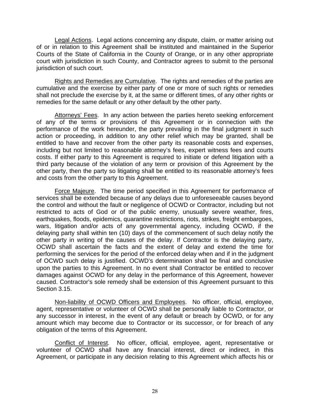Legal Actions. Legal actions concerning any dispute, claim, or matter arising out of or in relation to this Agreement shall be instituted and maintained in the Superior Courts of the State of California in the County of Orange, or in any other appropriate court with jurisdiction in such County, and Contractor agrees to submit to the personal jurisdiction of such court.

Rights and Remedies are Cumulative. The rights and remedies of the parties are cumulative and the exercise by either party of one or more of such rights or remedies shall not preclude the exercise by it, at the same or different times, of any other rights or remedies for the same default or any other default by the other party.

Attorneys' Fees. In any action between the parties hereto seeking enforcement of any of the terms or provisions of this Agreement or in connection with the performance of the work hereunder, the party prevailing in the final judgment in such action or proceeding, in addition to any other relief which may be granted, shall be entitled to have and recover from the other party its reasonable costs and expenses, including but not limited to reasonable attorney's fees, expert witness fees and courts costs. If either party to this Agreement is required to initiate or defend litigation with a third party because of the violation of any term or provision of this Agreement by the other party, then the party so litigating shall be entitled to its reasonable attorney's fees and costs from the other party to this Agreement.

Force Majeure. The time period specified in this Agreement for performance of services shall be extended because of any delays due to unforeseeable causes beyond the control and without the fault or negligence of OCWD or Contractor, including but not restricted to acts of God or of the public enemy, unusually severe weather, fires, earthquakes, floods, epidemics, quarantine restrictions, riots, strikes, freight embargoes, wars, litigation and/or acts of any governmental agency, including OCWD, if the delaying party shall within ten (10) days of the commencement of such delay notify the other party in writing of the causes of the delay. If Contractor is the delaying party, OCWD shall ascertain the facts and the extent of delay and extend the time for performing the services for the period of the enforced delay when and if in the judgment of OCWD such delay is justified. OCWD's determination shall be final and conclusive upon the parties to this Agreement. In no event shall Contractor be entitled to recover damages against OCWD for any delay in the performance of this Agreement, however caused. Contractor's sole remedy shall be extension of this Agreement pursuant to this Section 3.15.

Non-liability of OCWD Officers and Employees. No officer, official, employee, agent, representative or volunteer of OCWD shall be personally liable to Contractor, or any successor in interest, in the event of any default or breach by OCWD, or for any amount which may become due to Contractor or its successor, or for breach of any obligation of the terms of this Agreement.

Conflict of Interest. No officer, official, employee, agent, representative or volunteer of OCWD shall have any financial interest, direct or indirect, in this Agreement, or participate in any decision relating to this Agreement which affects his or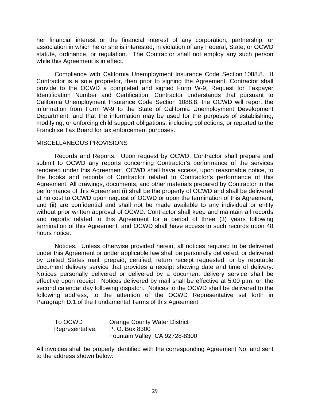her financial interest or the financial interest of any corporation, partnership, or association in which he or she is interested, in violation of any Federal, State, or OCWD statute, ordinance, or regulation. The Contractor shall not employ any such person while this Agreement is in effect.

Compliance with California Unemployment Insurance Code Section 1088.8. If Contractor is a sole proprietor, then prior to signing the Agreement, Contractor shall provide to the OCWD a completed and signed Form W-9, Request for Taxpayer Identification Number and Certification. Contractor understands that pursuant to California Unemployment Insurance Code Section 1088.8, the OCWD will report the information from Form W-9 to the State of California Unemployment Development Department, and that the information may be used for the purposes of establishing, modifying, or enforcing child support obligations, including collections, or reported to the Franchise Tax Board for tax enforcement purposes.

#### MISCELLANEOUS PROVISIONS

Records and Reports. Upon request by OCWD, Contractor shall prepare and submit to OCWD any reports concerning Contractor's performance of the services rendered under this Agreement. OCWD shall have access, upon reasonable notice, to the books and records of Contractor related to Contractor's performance of this Agreement. All drawings, documents, and other materials prepared by Contractor in the performance of this Agreement (i) shall be the property of OCWD and shall be delivered at no cost to OCWD upon request of OCWD or upon the termination of this Agreement, and (ii) are confidential and shall not be made available to any individual or entity without prior written approval of OCWD. Contractor shall keep and maintain all records and reports related to this Agreement for a period of three (3) years following termination of this Agreement, and OCWD shall have access to such records upon 48 hours notice.

Notices. Unless otherwise provided herein, all notices required to be delivered under this Agreement or under applicable law shall be personally delivered, or delivered by United States mail, prepaid, certified, return receipt requested, or by reputable document delivery service that provides a receipt showing date and time of delivery. Notices personally delivered or delivered by a document delivery service shall be effective upon receipt. Notices delivered by mail shall be effective at 5:00 p.m. on the second calendar day following dispatch. Notices to the OCWD shall be delivered to the following address, to the attention of the OCWD Representative set forth in Paragraph D.1 of the Fundamental Terms of this Agreement:

| To OCWD         | <b>Orange County Water District</b> |
|-----------------|-------------------------------------|
| Representative: | P. O. Box 8300                      |
|                 | Fountain Valley, CA 92728-8300      |

All invoices shall be properly identified with the corresponding Agreement No. and sent to the address shown below: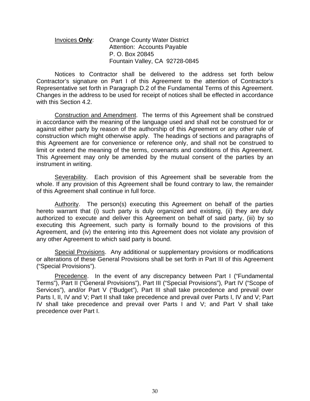#### Invoices **Only**: Orange County Water District Attention: Accounts Payable P. O. Box 20845 Fountain Valley, CA 92728-0845

Notices to Contractor shall be delivered to the address set forth below Contractor's signature on Part I of this Agreement to the attention of Contractor's Representative set forth in Paragraph D.2 of the Fundamental Terms of this Agreement. Changes in the address to be used for receipt of notices shall be effected in accordance with this Section 4.2.

Construction and Amendment. The terms of this Agreement shall be construed in accordance with the meaning of the language used and shall not be construed for or against either party by reason of the authorship of this Agreement or any other rule of construction which might otherwise apply. The headings of sections and paragraphs of this Agreement are for convenience or reference only, and shall not be construed to limit or extend the meaning of the terms, covenants and conditions of this Agreement. This Agreement may only be amended by the mutual consent of the parties by an instrument in writing.

Severability. Each provision of this Agreement shall be severable from the whole. If any provision of this Agreement shall be found contrary to law, the remainder of this Agreement shall continue in full force.

Authority. The person(s) executing this Agreement on behalf of the parties hereto warrant that (i) such party is duly organized and existing, (ii) they are duly authorized to execute and deliver this Agreement on behalf of said party, (iii) by so executing this Agreement, such party is formally bound to the provisions of this Agreement, and (iv) the entering into this Agreement does not violate any provision of any other Agreement to which said party is bound.

Special Provisions. Any additional or supplementary provisions or modifications or alterations of these General Provisions shall be set forth in Part III of this Agreement ("Special Provisions").

Precedence. In the event of any discrepancy between Part I ("Fundamental Terms"), Part II ("General Provisions"), Part III ("Special Provisions"), Part IV ("Scope of Services"), and/or Part V ("Budget"), Part III shall take precedence and prevail over Parts I, II, IV and V; Part II shall take precedence and prevail over Parts I, IV and V; Part IV shall take precedence and prevail over Parts I and V; and Part V shall take precedence over Part I.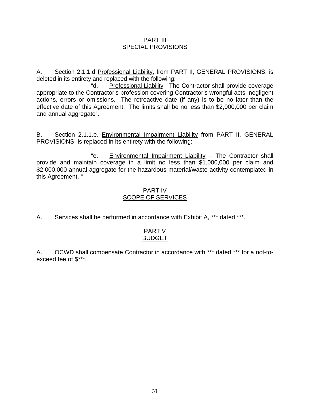#### PART III SPECIAL PROVISIONS

A. Section 2.1.1.d Professional Liability, from PART II, GENERAL PROVISIONS, is deleted in its entirety and replaced with the following:

 "d. Professional Liability - The Contractor shall provide coverage appropriate to the Contractor's profession covering Contractor's wrongful acts, negligent actions, errors or omissions. The retroactive date (if any) is to be no later than the effective date of this Agreement. The limits shall be no less than \$2,000,000 per claim and annual aggregate".

B. Section 2.1.1.e. Environmental Impairment Liability from PART II, GENERAL PROVISIONS, is replaced in its entirety with the following:

 "e. Environmental Impairment Liability – The Contractor shall provide and maintain coverage in a limit no less than \$1,000,000 per claim and \$2,000,000 annual aggregate for the hazardous material/waste activity contemplated in this Agreement. "

#### PART IV SCOPE OF SERVICES

A. Services shall be performed in accordance with Exhibit A, \*\*\* dated \*\*\*.

#### PART V BUDGET

A. OCWD shall compensate Contractor in accordance with \*\*\* dated \*\*\* for a not-toexceed fee of \$\*\*\*.